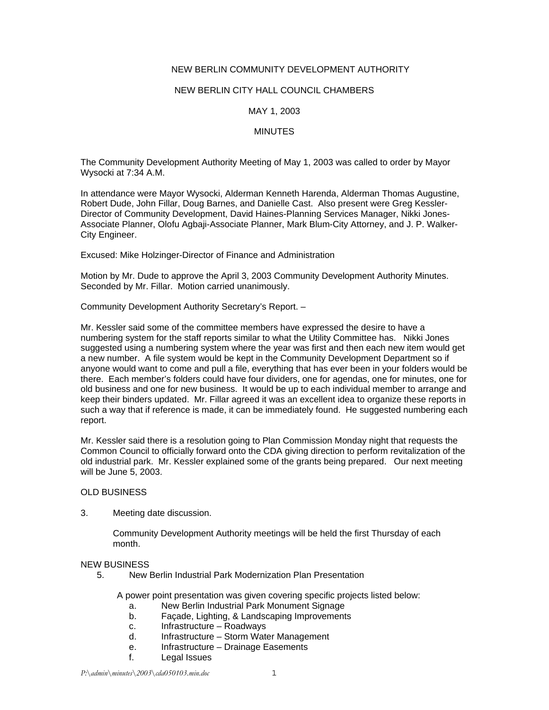# NEW BERLIN COMMUNITY DEVELOPMENT AUTHORITY

### NEW BERLIN CITY HALL COUNCIL CHAMBERS

# MAY 1, 2003

## **MINUTES**

The Community Development Authority Meeting of May 1, 2003 was called to order by Mayor Wysocki at 7:34 A.M.

In attendance were Mayor Wysocki, Alderman Kenneth Harenda, Alderman Thomas Augustine, Robert Dude, John Fillar, Doug Barnes, and Danielle Cast. Also present were Greg Kessler-Director of Community Development, David Haines-Planning Services Manager, Nikki Jones-Associate Planner, Olofu Agbaji-Associate Planner, Mark Blum-City Attorney, and J. P. Walker-City Engineer.

Excused: Mike Holzinger-Director of Finance and Administration

Motion by Mr. Dude to approve the April 3, 2003 Community Development Authority Minutes. Seconded by Mr. Fillar. Motion carried unanimously.

Community Development Authority Secretary's Report. –

Mr. Kessler said some of the committee members have expressed the desire to have a numbering system for the staff reports similar to what the Utility Committee has. Nikki Jones suggested using a numbering system where the year was first and then each new item would get a new number. A file system would be kept in the Community Development Department so if anyone would want to come and pull a file, everything that has ever been in your folders would be there. Each member's folders could have four dividers, one for agendas, one for minutes, one for old business and one for new business. It would be up to each individual member to arrange and keep their binders updated. Mr. Fillar agreed it was an excellent idea to organize these reports in such a way that if reference is made, it can be immediately found. He suggested numbering each report.

Mr. Kessler said there is a resolution going to Plan Commission Monday night that requests the Common Council to officially forward onto the CDA giving direction to perform revitalization of the old industrial park. Mr. Kessler explained some of the grants being prepared. Our next meeting will be June 5, 2003.

#### OLD BUSINESS

3. Meeting date discussion.

Community Development Authority meetings will be held the first Thursday of each month.

# NEW BUSINESS

5. New Berlin Industrial Park Modernization Plan Presentation

A power point presentation was given covering specific projects listed below:

- a. New Berlin Industrial Park Monument Signage
- b. Façade, Lighting, & Landscaping Improvements
- c. Infrastructure Roadways
- d. Infrastructure Storm Water Management
- e. Infrastructure Drainage Easements
- f. Legal Issues